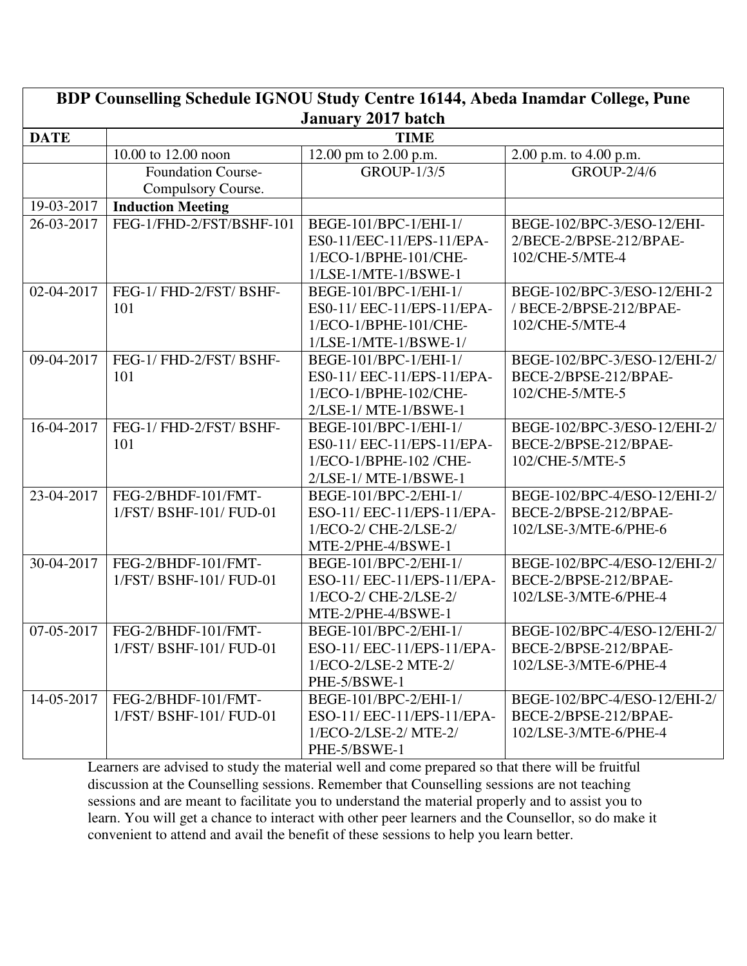| BDP Counselling Schedule IGNOU Study Centre 16144, Abeda Inamdar College, Pune |                           |                            |                              |  |  |
|--------------------------------------------------------------------------------|---------------------------|----------------------------|------------------------------|--|--|
| <b>January 2017 batch</b>                                                      |                           |                            |                              |  |  |
| <b>DATE</b>                                                                    | <b>TIME</b>               |                            |                              |  |  |
|                                                                                | 10.00 to 12.00 noon       | 12.00 pm to 2.00 p.m.      | 2.00 p.m. to 4.00 p.m.       |  |  |
|                                                                                | <b>Foundation Course-</b> | <b>GROUP-1/3/5</b>         | <b>GROUP-2/4/6</b>           |  |  |
|                                                                                | Compulsory Course.        |                            |                              |  |  |
| 19-03-2017                                                                     | <b>Induction Meeting</b>  |                            |                              |  |  |
| 26-03-2017                                                                     | FEG-1/FHD-2/FST/BSHF-101  | BEGE-101/BPC-1/EHI-1/      | BEGE-102/BPC-3/ESO-12/EHI-   |  |  |
|                                                                                |                           | ES0-11/EEC-11/EPS-11/EPA-  | 2/BECE-2/BPSE-212/BPAE-      |  |  |
|                                                                                |                           | 1/ECO-1/BPHE-101/CHE-      | 102/CHE-5/MTE-4              |  |  |
|                                                                                |                           | 1/LSE-1/MTE-1/BSWE-1       |                              |  |  |
| 02-04-2017                                                                     | FEG-1/ FHD-2/FST/ BSHF-   | BEGE-101/BPC-1/EHI-1/      | BEGE-102/BPC-3/ESO-12/EHI-2  |  |  |
|                                                                                | 101                       | ES0-11/ EEC-11/EPS-11/EPA- | / BECE-2/BPSE-212/BPAE-      |  |  |
|                                                                                |                           | 1/ECO-1/BPHE-101/CHE-      | 102/CHE-5/MTE-4              |  |  |
|                                                                                |                           | $1/LSE-1/MTE-1/BSWE-1/$    |                              |  |  |
| 09-04-2017                                                                     | FEG-1/ FHD-2/FST/ BSHF-   | BEGE-101/BPC-1/EHI-1/      | BEGE-102/BPC-3/ESO-12/EHI-2/ |  |  |
|                                                                                | 101                       | ES0-11/ EEC-11/EPS-11/EPA- | BECE-2/BPSE-212/BPAE-        |  |  |
|                                                                                |                           | 1/ECO-1/BPHE-102/CHE-      | 102/CHE-5/MTE-5              |  |  |
|                                                                                |                           | 2/LSE-1/ MTE-1/BSWE-1      |                              |  |  |
| 16-04-2017                                                                     | FEG-1/ FHD-2/FST/ BSHF-   | BEGE-101/BPC-1/EHI-1/      | BEGE-102/BPC-3/ESO-12/EHI-2/ |  |  |
|                                                                                | 101                       | ES0-11/ EEC-11/EPS-11/EPA- | BECE-2/BPSE-212/BPAE-        |  |  |
|                                                                                |                           | 1/ECO-1/BPHE-102 /CHE-     | 102/CHE-5/MTE-5              |  |  |
|                                                                                |                           | 2/LSE-1/ MTE-1/BSWE-1      |                              |  |  |
| 23-04-2017                                                                     | FEG-2/BHDF-101/FMT-       | BEGE-101/BPC-2/EHI-1/      | BEGE-102/BPC-4/ESO-12/EHI-2/ |  |  |
|                                                                                | 1/FST/ BSHF-101/ FUD-01   | ESO-11/ EEC-11/EPS-11/EPA- | BECE-2/BPSE-212/BPAE-        |  |  |
|                                                                                |                           | 1/ECO-2/ CHE-2/LSE-2/      | 102/LSE-3/MTE-6/PHE-6        |  |  |
|                                                                                |                           | MTE-2/PHE-4/BSWE-1         |                              |  |  |
| 30-04-2017                                                                     | FEG-2/BHDF-101/FMT-       | BEGE-101/BPC-2/EHI-1/      | BEGE-102/BPC-4/ESO-12/EHI-2/ |  |  |
|                                                                                | 1/FST/ BSHF-101/ FUD-01   | ESO-11/ EEC-11/EPS-11/EPA- | BECE-2/BPSE-212/BPAE-        |  |  |
|                                                                                |                           | 1/ECO-2/ CHE-2/LSE-2/      | 102/LSE-3/MTE-6/PHE-4        |  |  |
|                                                                                |                           | MTE-2/PHE-4/BSWE-1         |                              |  |  |
| 07-05-2017                                                                     | FEG-2/BHDF-101/FMT-       | BEGE-101/BPC-2/EHI-1/      | BEGE-102/BPC-4/ESO-12/EHI-2/ |  |  |
|                                                                                | 1/FST/ BSHF-101/ FUD-01   | ESO-11/ EEC-11/EPS-11/EPA- | BECE-2/BPSE-212/BPAE-        |  |  |
|                                                                                |                           | 1/ECO-2/LSE-2 MTE-2/       | 102/LSE-3/MTE-6/PHE-4        |  |  |
|                                                                                |                           | PHE-5/BSWE-1               |                              |  |  |
| 14-05-2017                                                                     | FEG-2/BHDF-101/FMT-       | BEGE-101/BPC-2/EHI-1/      | BEGE-102/BPC-4/ESO-12/EHI-2/ |  |  |
|                                                                                | 1/FST/BSHF-101/FUD-01     | ESO-11/ EEC-11/EPS-11/EPA- | BECE-2/BPSE-212/BPAE-        |  |  |
|                                                                                |                           | $1/ECO-2/LSE-2/MTE-2/$     | 102/LSE-3/MTE-6/PHE-4        |  |  |
|                                                                                |                           | PHE-5/BSWE-1               |                              |  |  |

Learners are advised to study the material well and come prepared so that there will be fruitful discussion at the Counselling sessions. Remember that Counselling sessions are not teaching sessions and are meant to facilitate you to understand the material properly and to assist you to learn. You will get a chance to interact with other peer learners and the Counsellor, so do make it convenient to attend and avail the benefit of these sessions to help you learn better.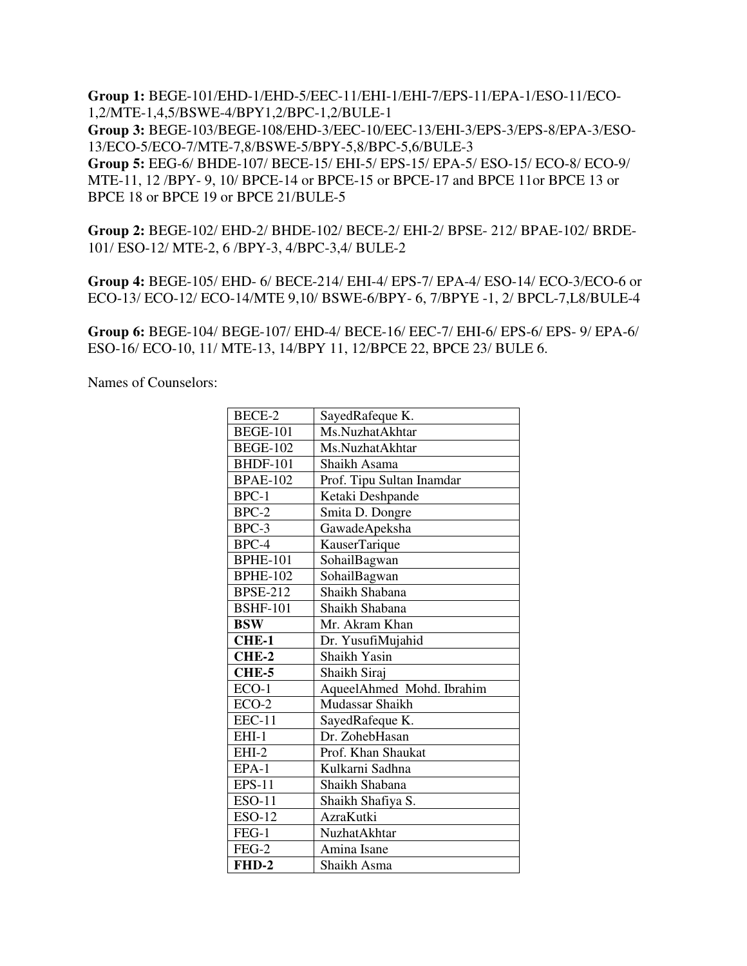**Group 1:** BEGE-101/EHD-1/EHD-5/EEC-11/EHI-1/EHI-7/EPS-11/EPA-1/ESO-11/ECO-1,2/MTE-1,4,5/BSWE-4/BPY1,2/BPC-1,2/BULE-1 **Group 3:** BEGE-103/BEGE-108/EHD-3/EEC-10/EEC-13/EHI-3/EPS-3/EPS-8/EPA-3/ESO-13/ECO-5/ECO-7/MTE-7,8/BSWE-5/BPY-5,8/BPC-5,6/BULE-3 **Group 5:** EEG-6/ BHDE-107/ BECE-15/ EHI-5/ EPS-15/ EPA-5/ ESO-15/ ECO-8/ ECO-9/ MTE-11, 12 /BPY- 9, 10/ BPCE-14 or BPCE-15 or BPCE-17 and BPCE 11or BPCE 13 or BPCE 18 or BPCE 19 or BPCE 21/BULE-5

**Group 2:** BEGE-102/ EHD-2/ BHDE-102/ BECE-2/ EHI-2/ BPSE- 212/ BPAE-102/ BRDE-101/ ESO-12/ MTE-2, 6 /BPY-3, 4/BPC-3,4/ BULE-2

**Group 4:** BEGE-105/ EHD- 6/ BECE-214/ EHI-4/ EPS-7/ EPA-4/ ESO-14/ ECO-3/ECO-6 or ECO-13/ ECO-12/ ECO-14/MTE 9,10/ BSWE-6/BPY- 6, 7/BPYE -1, 2/ BPCL-7,L8/BULE-4

**Group 6:** BEGE-104/ BEGE-107/ EHD-4/ BECE-16/ EEC-7/ EHI-6/ EPS-6/ EPS- 9/ EPA-6/ ESO-16/ ECO-10, 11/ MTE-13, 14/BPY 11, 12/BPCE 22, BPCE 23/ BULE 6.

Names of Counselors:

| BECE-2          | SayedRafeque K.           |
|-----------------|---------------------------|
| <b>BEGE-101</b> | Ms.NuzhatAkhtar           |
| <b>BEGE-102</b> | Ms.NuzhatAkhtar           |
| <b>BHDF-101</b> | Shaikh Asama              |
| <b>BPAE-102</b> | Prof. Tipu Sultan Inamdar |
| BPC-1           | Ketaki Deshpande          |
| $BPC-2$         | Smita D. Dongre           |
| BPC-3           | GawadeApeksha             |
| BPC-4           | KauserTarique             |
| <b>BPHE-101</b> | SohailBagwan              |
| <b>BPHE-102</b> | SohailBagwan              |
| <b>BPSE-212</b> | Shaikh Shabana            |
| <b>BSHF-101</b> | Shaikh Shabana            |
| <b>BSW</b>      | Mr. Akram Khan            |
| CHE-1           | Dr. YusufiMujahid         |
| CHE-2           | Shaikh Yasin              |
| CHE-5           | Shaikh Siraj              |
| $ECO-1$         | AqueelAhmed Mohd. Ibrahim |
| $ECO-2$         | Mudassar Shaikh           |
| <b>EEC-11</b>   | SayedRafeque K.           |
| $EHI-1$         | Dr. ZohebHasan            |
| $EHI-2$         | Prof. Khan Shaukat        |
| $EPA-1$         | Kulkarni Sadhna           |
| <b>EPS-11</b>   | Shaikh Shabana            |
| <b>ESO-11</b>   | Shaikh Shafiya S.         |
| <b>ESO-12</b>   | <b>AzraKutki</b>          |
| FEG-1           | <b>NuzhatAkhtar</b>       |
| $FEG-2$         | Amina Isane               |
| FHD-2           | Shaikh Asma               |